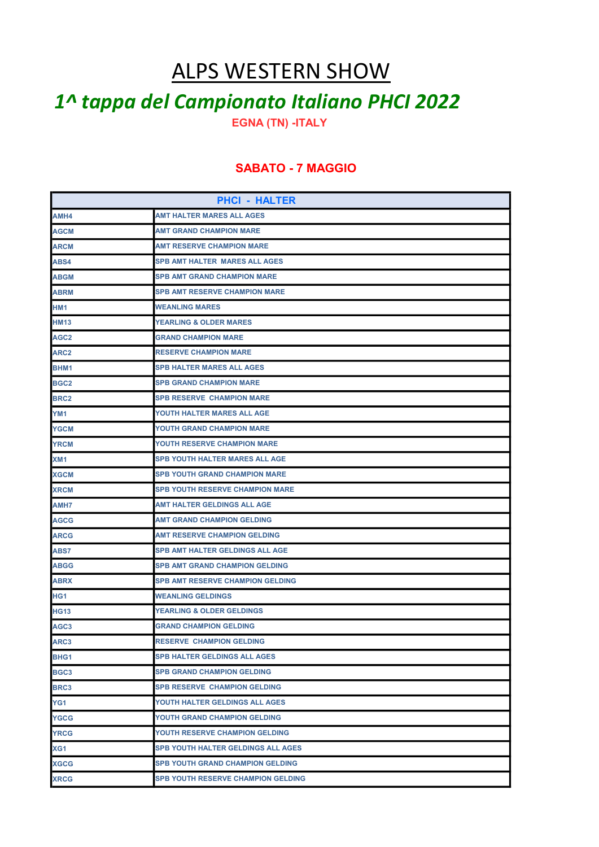## ALPS WESTERN SHOW

## 1^ tappa del Campionato Italiano PHCI 2022

EGNA (TN) -ITALY

## SABATO - 7 MAGGIO

| <b>PHCI - HALTER</b> |                                           |
|----------------------|-------------------------------------------|
| AMH4                 | AMT HALTER MARES ALL AGES                 |
| <b>AGCM</b>          | <b>AMT GRAND CHAMPION MARE</b>            |
| <b>ARCM</b>          | AMT RESERVE CHAMPION MARE                 |
| ABS4                 | SPB AMT HALTER MARES ALL AGES             |
| <b>ABGM</b>          | <b>SPB AMT GRAND CHAMPION MARE</b>        |
| <b>ABRM</b>          | <b>SPB AMT RESERVE CHAMPION MARE</b>      |
| HM <sub>1</sub>      | <b>WEANLING MARES</b>                     |
| <b>HM13</b>          | <b>YEARLING &amp; OLDER MARES</b>         |
| AGC <sub>2</sub>     | <b>GRAND CHAMPION MARE</b>                |
| ARC2                 | <b>RESERVE CHAMPION MARE</b>              |
| BHM1                 | SPB HALTER MARES ALL AGES                 |
| BGC2                 | <b>SPB GRAND CHAMPION MARE</b>            |
| <b>BRC2</b>          | <b>SPB RESERVE CHAMPION MARE</b>          |
| YM <sub>1</sub>      | YOUTH HALTER MARES ALL AGE                |
| <b>YGCM</b>          | YOUTH GRAND CHAMPION MARE                 |
| <b>YRCM</b>          | YOUTH RESERVE CHAMPION MARE               |
| XM <sub>1</sub>      | <b>SPB YOUTH HALTER MARES ALL AGE</b>     |
| <b>XGCM</b>          | SPB YOUTH GRAND CHAMPION MARE             |
| <b>XRCM</b>          | SPB YOUTH RESERVE CHAMPION MARE           |
| AMH7                 | AMT HALTER GELDINGS ALL AGE               |
| AGCG                 | <b>AMT GRAND CHAMPION GELDING</b>         |
| ARCG                 | <b>AMT RESERVE CHAMPION GELDING</b>       |
| ABS7                 | SPB AMT HALTER GELDINGS ALL AGE           |
| ABGG                 | <b>SPB AMT GRAND CHAMPION GELDING</b>     |
| <b>ABRX</b>          | <b>SPB AMT RESERVE CHAMPION GELDING</b>   |
| HG <sub>1</sub>      | <b>WEANLING GELDINGS</b>                  |
| <b>HG13</b>          | <b>YEARLING &amp; OLDER GELDINGS</b>      |
| AGC3                 | <b>GRAND CHAMPION GELDING</b>             |
| ARC3                 | <b>RESERVE CHAMPION GELDING</b>           |
| BHG1                 | <b>SPB HALTER GELDINGS ALL AGES</b>       |
| BGC3                 | <b>SPB GRAND CHAMPION GELDING</b>         |
| BRC3                 | <b>SPB RESERVE CHAMPION GELDING</b>       |
| YG1                  | YOUTH HALTER GELDINGS ALL AGES            |
| <b>YGCG</b>          | YOUTH GRAND CHAMPION GELDING              |
| <b>YRCG</b>          | YOUTH RESERVE CHAMPION GELDING            |
| XG <sub>1</sub>      | SPB YOUTH HALTER GELDINGS ALL AGES        |
| <b>XGCG</b>          | <b>SPB YOUTH GRAND CHAMPION GELDING</b>   |
| <b>XRCG</b>          | <b>SPB YOUTH RESERVE CHAMPION GELDING</b> |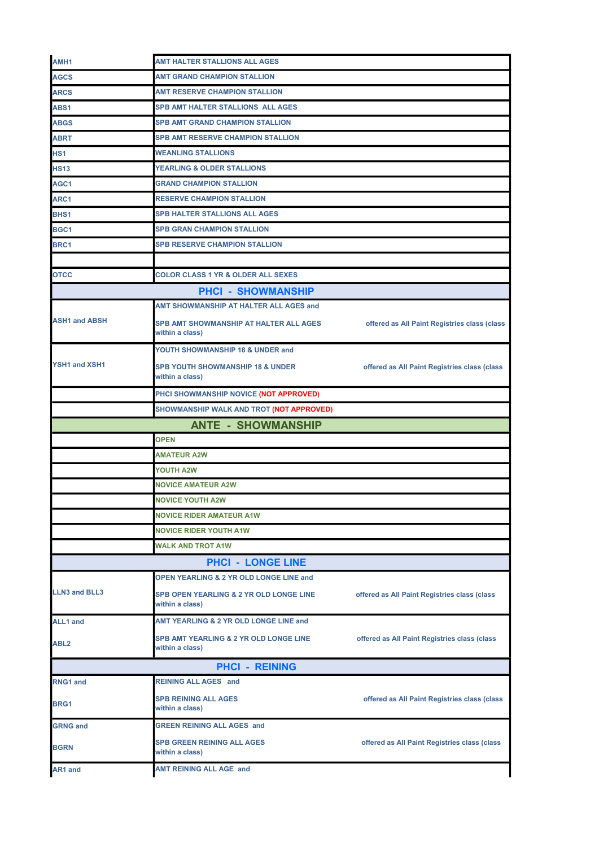| AMH <sub>1</sub>     | AMT HALTER STALLIONS ALL AGES                                         |                                              |
|----------------------|-----------------------------------------------------------------------|----------------------------------------------|
| <b>AGCS</b>          | AMT GRAND CHAMPION STALLION                                           |                                              |
| <b>ARCS</b>          | <b>AMT RESERVE CHAMPION STALLION</b>                                  |                                              |
| ABS1                 | SPB AMT HALTER STALLIONS ALL AGES                                     |                                              |
| <b>ABGS</b>          | <b>SPB AMT GRAND CHAMPION STALLION</b>                                |                                              |
| <b>ABRT</b>          | <b>SPB AMT RESERVE CHAMPION STALLION</b>                              |                                              |
| HS <sub>1</sub>      | <b>WEANLING STALLIONS</b>                                             |                                              |
| <b>HS13</b>          | <b>YEARLING &amp; OLDER STALLIONS</b>                                 |                                              |
| AGC1                 | <b>GRAND CHAMPION STALLION</b>                                        |                                              |
| ARC1                 | <b>RESERVE CHAMPION STALLION</b>                                      |                                              |
| BHS <sub>1</sub>     | <b>SPB HALTER STALLIONS ALL AGES</b>                                  |                                              |
| BGC1                 | <b>SPB GRAN CHAMPION STALLION</b>                                     |                                              |
| BRC1                 | <b>SPB RESERVE CHAMPION STALLION</b>                                  |                                              |
|                      |                                                                       |                                              |
| <b>OTCC</b>          | <b>COLOR CLASS 1 YR &amp; OLDER ALL SEXES</b>                         |                                              |
|                      | <b>PHCI - SHOWMANSHIP</b>                                             |                                              |
|                      | AMT SHOWMANSHIP AT HALTER ALL AGES and                                |                                              |
| <b>ASH1 and ABSH</b> | <b>SPB AMT SHOWMANSHIP AT HALTER ALL AGES</b><br>within a class)      | offered as All Paint Registries class (class |
|                      | YOUTH SHOWMANSHIP 18 & UNDER and                                      |                                              |
| <b>YSH1 and XSH1</b> | <b>SPB YOUTH SHOWMANSHIP 18 &amp; UNDER</b><br>within a class)        | offered as All Paint Registries class (class |
|                      | PHCI SHOWMANSHIP NOVICE (NOT APPROVED)                                |                                              |
|                      | SHOWMANSHIP WALK AND TROT (NOT APPROVED)                              |                                              |
|                      | <b>ANTE - SHOWMANSHIP</b>                                             |                                              |
|                      | <b>OPEN</b>                                                           |                                              |
|                      | <b>AMATEUR A2W</b>                                                    |                                              |
|                      | <b>YOUTH A2W</b>                                                      |                                              |
|                      | <b>NOVICE AMATEUR A2W</b>                                             |                                              |
|                      | <b>NOVICE YOUTH A2W</b>                                               |                                              |
|                      | <b>NOVICE RIDER AMATEUR A1W</b>                                       |                                              |
|                      | <b>NOVICE RIDER YOUTH A1W</b>                                         |                                              |
|                      |                                                                       |                                              |
|                      | WALK AND TROT A1W                                                     |                                              |
|                      | <b>PHCI - LONGE LINE</b>                                              |                                              |
|                      | <b>OPEN YEARLING &amp; 2 YR OLD LONGE LINE and</b>                    |                                              |
| <b>LLN3 and BLL3</b> | <b>SPB OPEN YEARLING &amp; 2 YR OLD LONGE LINE</b><br>within a class) | offered as All Paint Registries class (class |
| <b>ALL1</b> and      | AMT YEARLING & 2 YR OLD LONGE LINE and                                |                                              |
| ABL <sub>2</sub>     | <b>SPB AMT YEARLING &amp; 2 YR OLD LONGE LINE</b><br>within a class)  | offered as All Paint Registries class (class |
|                      | <b>PHCI - REINING</b>                                                 |                                              |
| <b>RNG1 and</b>      | <b>REINING ALL AGES and</b>                                           |                                              |
| <b>BRG1</b>          | <b>SPB REINING ALL AGES</b><br>within a class)                        | offered as All Paint Registries class (class |
| <b>GRNG and</b>      | <b>GREEN REINING ALL AGES and</b>                                     |                                              |
| <b>BGRN</b>          | <b>SPB GREEN REINING ALL AGES</b><br>within a class)                  | offered as All Paint Registries class (class |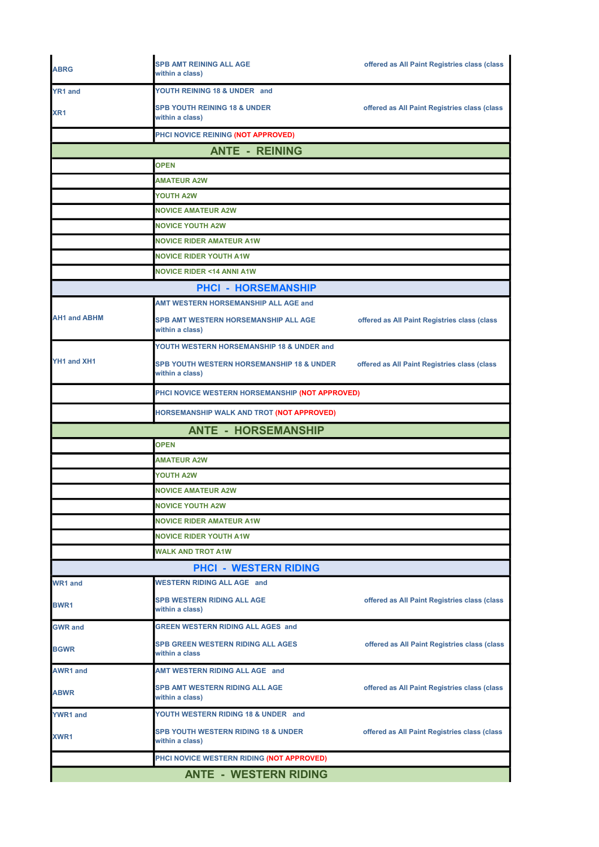| <b>ABRG</b>         | <b>SPB AMT REINING ALL AGE</b><br>within a class)                       | offered as All Paint Registries class (class |
|---------------------|-------------------------------------------------------------------------|----------------------------------------------|
| YR1 and             | YOUTH REINING 18 & UNDER and                                            |                                              |
| XR <sub>1</sub>     | <b>SPB YOUTH REINING 18 &amp; UNDER</b><br>within a class)              | offered as All Paint Registries class (class |
|                     | PHCI NOVICE REINING (NOT APPROVED)                                      |                                              |
|                     | <b>ANTE - REINING</b>                                                   |                                              |
|                     | <b>OPEN</b>                                                             |                                              |
|                     | <b>AMATEUR A2W</b>                                                      |                                              |
|                     | <b>YOUTH A2W</b>                                                        |                                              |
|                     | <b>NOVICE AMATEUR A2W</b>                                               |                                              |
|                     | <b>NOVICE YOUTH A2W</b>                                                 |                                              |
|                     | <b>NOVICE RIDER AMATEUR A1W</b>                                         |                                              |
|                     | <b>NOVICE RIDER YOUTH A1W</b>                                           |                                              |
|                     | <b>NOVICE RIDER &lt;14 ANNI A1W</b>                                     |                                              |
|                     | <b>PHCI - HORSEMANSHIP</b>                                              |                                              |
|                     | <b>AMT WESTERN HORSEMANSHIP ALL AGE and</b>                             |                                              |
| <b>AH1 and ABHM</b> | SPB AMT WESTERN HORSEMANSHIP ALL AGE<br>within a class)                 | offered as All Paint Registries class (class |
|                     | YOUTH WESTERN HORSEMANSHIP 18 & UNDER and                               |                                              |
| YH1 and XH1         | <b>SPB YOUTH WESTERN HORSEMANSHIP 18 &amp; UNDER</b><br>within a class) | offered as All Paint Registries class (class |
|                     | PHCI NOVICE WESTERN HORSEMANSHIP (NOT APPROVED)                         |                                              |
|                     | HORSEMANSHIP WALK AND TROT (NOT APPROVED)                               |                                              |
|                     | <b>ANTE - HORSEMANSHIP</b>                                              |                                              |
|                     | <b>OPEN</b>                                                             |                                              |
|                     | <b>AMATEUR A2W</b>                                                      |                                              |
|                     | YOUTH A2W                                                               |                                              |
|                     | <b>NOVICE AMATEUR A2W</b>                                               |                                              |
|                     | <b>NOVICE YOUTH A2W</b>                                                 |                                              |
|                     | <b>NOVICE RIDER AMATEUR A1W</b>                                         |                                              |
|                     | <b>NOVICE RIDER YOUTH A1W</b>                                           |                                              |
|                     | <b>WALK AND TROT A1W</b>                                                |                                              |
|                     | <b>PHCI - WESTERN RIDING</b>                                            |                                              |
| <b>WR1 and</b>      | <b>WESTERN RIDING ALL AGE and</b>                                       |                                              |
| BWR1                | <b>SPB WESTERN RIDING ALL AGE</b><br>within a class)                    | offered as All Paint Registries class (class |
| <b>GWR and</b>      | <b>GREEN WESTERN RIDING ALL AGES and</b>                                |                                              |
| <b>BGWR</b>         |                                                                         |                                              |
|                     | <b>SPB GREEN WESTERN RIDING ALL AGES</b><br>within a class              | offered as All Paint Registries class (class |
| <b>AWR1 and</b>     | AMT WESTERN RIDING ALL AGE and                                          |                                              |
| <b>ABWR</b>         | SPB AMT WESTERN RIDING ALL AGE<br>within a class)                       | offered as All Paint Registries class (class |
| <b>YWR1 and</b>     | YOUTH WESTERN RIDING 18 & UNDER and                                     |                                              |
| XWR1                | <b>SPB YOUTH WESTERN RIDING 18 &amp; UNDER</b><br>within a class)       | offered as All Paint Registries class (class |
|                     | PHCI NOVICE WESTERN RIDING (NOT APPROVED)                               |                                              |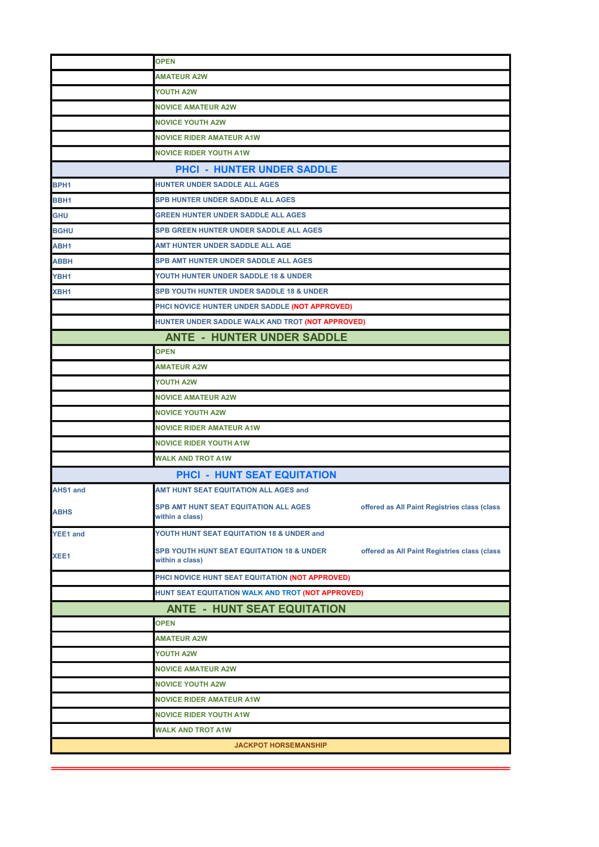|                                   | <b>OPEN</b>                                                                                                  |  |  |
|-----------------------------------|--------------------------------------------------------------------------------------------------------------|--|--|
|                                   | <b>AMATEUR A2W</b>                                                                                           |  |  |
|                                   | YOUTH A2W                                                                                                    |  |  |
|                                   | <b>NOVICE AMATEUR A2W</b>                                                                                    |  |  |
|                                   | <b>NOVICE YOUTH A2W</b>                                                                                      |  |  |
|                                   | <b>NOVICE RIDER AMATEUR A1W</b>                                                                              |  |  |
|                                   | <b>NOVICE RIDER YOUTH A1W</b>                                                                                |  |  |
| <b>PHCI - HUNTER UNDER SADDLE</b> |                                                                                                              |  |  |
| BPH <sub>1</sub>                  | HUNTER UNDER SADDLE ALL AGES                                                                                 |  |  |
| BBH <sub>1</sub>                  | <b>SPB HUNTER UNDER SADDLE ALL AGES</b>                                                                      |  |  |
| <b>GHU</b>                        | <b>GREEN HUNTER UNDER SADDLE ALL AGES</b>                                                                    |  |  |
| <b>BGHU</b>                       | <b>SPB GREEN HUNTER UNDER SADDLE ALL AGES</b>                                                                |  |  |
| ABH1                              | AMT HUNTER UNDER SADDLE ALL AGE                                                                              |  |  |
| <b>ABBH</b>                       | <b>SPB AMT HUNTER UNDER SADDLE ALL AGES</b>                                                                  |  |  |
| YBH1                              | YOUTH HUNTER UNDER SADDLE 18 & UNDER                                                                         |  |  |
| XBH1                              | <b>SPB YOUTH HUNTER UNDER SADDLE 18 &amp; UNDER</b>                                                          |  |  |
|                                   | PHCI NOVICE HUNTER UNDER SADDLE (NOT APPROVED)                                                               |  |  |
|                                   | HUNTER UNDER SADDLE WALK AND TROT (NOT APPROVED)                                                             |  |  |
|                                   | <b>ANTE - HUNTER UNDER SADDLE</b>                                                                            |  |  |
|                                   | <b>OPEN</b>                                                                                                  |  |  |
|                                   | <b>AMATEUR A2W</b>                                                                                           |  |  |
|                                   | YOUTH A2W                                                                                                    |  |  |
|                                   | <b>NOVICE AMATEUR A2W</b>                                                                                    |  |  |
|                                   | <b>NOVICE YOUTH A2W</b>                                                                                      |  |  |
|                                   | <b>NOVICE RIDER AMATEUR A1W</b>                                                                              |  |  |
|                                   | <b>NOVICE RIDER YOUTH A1W</b>                                                                                |  |  |
|                                   | <b>WALK AND TROT A1W</b>                                                                                     |  |  |
|                                   | <b>PHCI - HUNT SEAT EQUITATION</b>                                                                           |  |  |
| AHS1 and                          | AMT HUNT SEAT EQUITATION ALL AGES and                                                                        |  |  |
| <b>ABHS</b>                       | SPB AMT HUNT SEAT EQUITATION ALL AGES<br>offered as All Paint Registries class (class<br>within a class)     |  |  |
| YEE1 and                          | YOUTH HUNT SEAT EQUITATION 18 & UNDER and                                                                    |  |  |
| XEE1                              | SPB YOUTH HUNT SEAT EQUITATION 18 & UNDER<br>offered as All Paint Registries class (class<br>within a class) |  |  |
|                                   | PHCI NOVICE HUNT SEAT EQUITATION (NOT APPROVED)                                                              |  |  |
|                                   | HUNT SEAT EQUITATION WALK AND TROT (NOT APPROVED)                                                            |  |  |
|                                   | <b>ANTE - HUNT SEAT EQUITATION</b>                                                                           |  |  |
|                                   | <b>OPEN</b>                                                                                                  |  |  |
|                                   | <b>AMATEUR A2W</b>                                                                                           |  |  |
|                                   | <b>YOUTH A2W</b>                                                                                             |  |  |
|                                   | <b>NOVICE AMATEUR A2W</b>                                                                                    |  |  |
|                                   | <b>NOVICE YOUTH A2W</b>                                                                                      |  |  |
|                                   | <b>NOVICE RIDER AMATEUR A1W</b>                                                                              |  |  |
|                                   | <b>NOVICE RIDER YOUTH A1W</b>                                                                                |  |  |
|                                   | <b>WALK AND TROT A1W</b>                                                                                     |  |  |
|                                   | <b>JACKPOT HORSEMANSHIP</b>                                                                                  |  |  |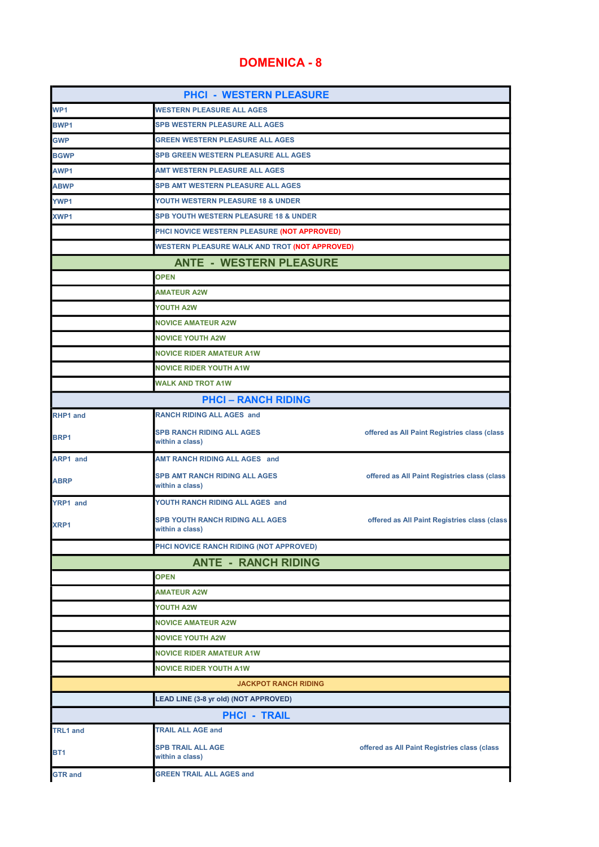## DOMENICA - 8

| <b>PHCI - WESTERN PLEASURE</b> |                                                           |                                              |
|--------------------------------|-----------------------------------------------------------|----------------------------------------------|
| WP1                            | <b>WESTERN PLEASURE ALL AGES</b>                          |                                              |
| <b>BWP1</b>                    | <b>SPB WESTERN PLEASURE ALL AGES</b>                      |                                              |
| GWP                            | <b>GREEN WESTERN PLEASURE ALL AGES</b>                    |                                              |
| <b>BGWP</b>                    | <b>SPB GREEN WESTERN PLEASURE ALL AGES</b>                |                                              |
| AWP1                           | <b>AMT WESTERN PLEASURE ALL AGES</b>                      |                                              |
| ABWP                           | <b>SPB AMT WESTERN PLEASURE ALL AGES</b>                  |                                              |
| <b>YWP1</b>                    | YOUTH WESTERN PLEASURE 18 & UNDER                         |                                              |
| XWP1                           | SPB YOUTH WESTERN PLEASURE 18 & UNDER                     |                                              |
|                                | PHCI NOVICE WESTERN PLEASURE (NOT APPROVED)               |                                              |
|                                | WESTERN PLEASURE WALK AND TROT (NOT APPROVED)             |                                              |
|                                | <b>ANTE - WESTERN PLEASURE</b>                            |                                              |
|                                | <b>OPEN</b>                                               |                                              |
|                                | <b>AMATEUR A2W</b>                                        |                                              |
|                                | <b>YOUTH A2W</b>                                          |                                              |
|                                | <b>NOVICE AMATEUR A2W</b>                                 |                                              |
|                                | <b>NOVICE YOUTH A2W</b>                                   |                                              |
|                                | <b>NOVICE RIDER AMATEUR A1W</b>                           |                                              |
|                                | <b>NOVICE RIDER YOUTH A1W</b>                             |                                              |
|                                | <b>WALK AND TROT A1W</b>                                  |                                              |
|                                | <b>PHCI-RANCH RIDING</b>                                  |                                              |
| <b>RHP1 and</b>                | <b>RANCH RIDING ALL AGES and</b>                          |                                              |
| BRP1                           | <b>SPB RANCH RIDING ALL AGES</b><br>within a class)       | offered as All Paint Registries class (class |
| <b>ARP1 and</b>                | <b>AMT RANCH RIDING ALL AGES and</b>                      |                                              |
| ABRP                           | <b>SPB AMT RANCH RIDING ALL AGES</b><br>within a class)   | offered as All Paint Registries class (class |
| <b>YRP1</b> and                | YOUTH RANCH RIDING ALL AGES and                           |                                              |
| XRP1                           | <b>SPB YOUTH RANCH RIDING ALL AGES</b><br>within a class) | offered as All Paint Registries class (class |
|                                | PHCI NOVICE RANCH RIDING (NOT APPROVED)                   |                                              |
|                                | <b>ANTE - RANCH RIDING</b>                                |                                              |
|                                | <b>OPEN</b>                                               |                                              |
|                                | <b>AMATEUR A2W</b>                                        |                                              |
|                                | <b>YOUTH A2W</b>                                          |                                              |
|                                | <b>NOVICE AMATEUR A2W</b>                                 |                                              |
|                                | <b>NOVICE YOUTH A2W</b>                                   |                                              |
|                                | <b>NOVICE RIDER AMATEUR A1W</b>                           |                                              |
|                                | <b>NOVICE RIDER YOUTH A1W</b>                             |                                              |
|                                | <b>JACKPOT RANCH RIDING</b>                               |                                              |
|                                | LEAD LINE (3-8 yr old) (NOT APPROVED)                     |                                              |
|                                | <b>PHCI - TRAIL</b>                                       |                                              |
| <b>TRL1</b> and                | <b>TRAIL ALL AGE and</b>                                  |                                              |
| BT <sub>1</sub>                | <b>SPB TRAIL ALL AGE</b><br>within a class)               | offered as All Paint Registries class (class |
| <b>GTR</b> and                 | <b>GREEN TRAIL ALL AGES and</b>                           |                                              |